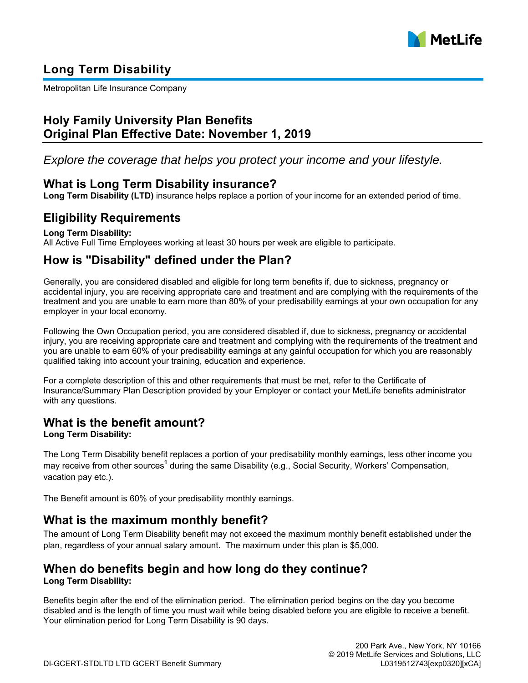

# **Long Term Disability**

Metropolitan Life Insurance Company

# **Holy Family University Plan Benefits Original Plan Effective Date: November 1, 2019**

*Explore the coverage that helps you protect your income and your lifestyle.*

# **What is Long Term Disability insurance?**

**Long Term Disability (LTD)** insurance helps replace a portion of your income for an extended period of time.

# **Eligibility Requirements**

## **Long Term Disability:**

All Active Full Time Employees working at least 30 hours per week are eligible to participate.

# **How is "Disability" defined under the Plan?**

Generally, you are considered disabled and eligible for long term benefits if, due to sickness, pregnancy or accidental injury, you are receiving appropriate care and treatment and are complying with the requirements of the treatment and you are unable to earn more than 80% of your predisability earnings at your own occupation for any employer in your local economy.

Following the Own Occupation period, you are considered disabled if, due to sickness, pregnancy or accidental injury, you are receiving appropriate care and treatment and complying with the requirements of the treatment and you are unable to earn 60% of your predisability earnings at any gainful occupation for which you are reasonably qualified taking into account your training, education and experience.

For a complete description of this and other requirements that must be met, refer to the Certificate of Insurance/Summary Plan Description provided by your Employer or contact your MetLife benefits administrator with any questions.

# **What is the benefit amount?**

## **Long Term Disability:**

The Long Term Disability benefit replaces a portion of your predisability monthly earnings, less other income you may receive from other sources<sup>1</sup> during the same Disability (e.g., Social Security, Workers' Compensation, vacation pay etc.).

The Benefit amount is 60% of your predisability monthly earnings.

# **What is the maximum monthly benefit?**

The amount of Long Term Disability benefit may not exceed the maximum monthly benefit established under the plan, regardless of your annual salary amount. The maximum under this plan is \$5,000.

# **When do benefits begin and how long do they continue?**

## **Long Term Disability:**

Benefits begin after the end of the elimination period. The elimination period begins on the day you become disabled and is the length of time you must wait while being disabled before you are eligible to receive a benefit. Your elimination period for Long Term Disability is 90 days.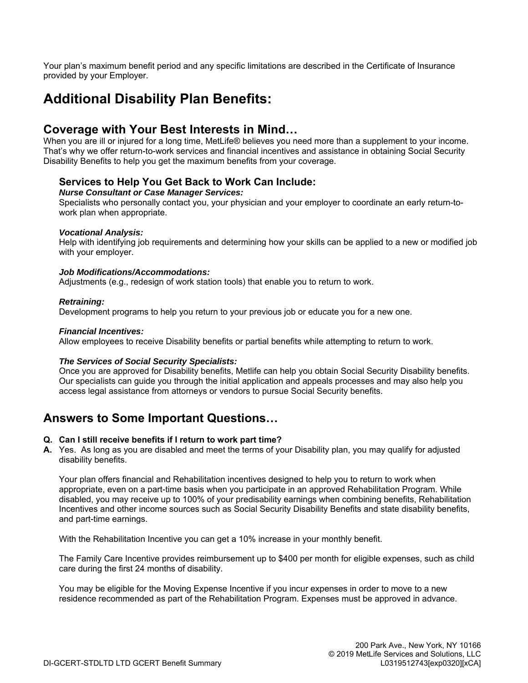Your plan's maximum benefit period and any specific limitations are described in the Certificate of Insurance provided by your Employer.

# **Additional Disability Plan Benefits:**

## **Coverage with Your Best Interests in Mind…**

When you are ill or injured for a long time, MetLife® believes you need more than a supplement to your income. That's why we offer return-to-work services and financial incentives and assistance in obtaining Social Security Disability Benefits to help you get the maximum benefits from your coverage.

## **Services to Help You Get Back to Work Can Include:**

### *Nurse Consultant or Case Manager Services:*

Specialists who personally contact you, your physician and your employer to coordinate an early return-towork plan when appropriate.

## *Vocational Analysis:*

Help with identifying job requirements and determining how your skills can be applied to a new or modified job with your employer.

## *Job Modifications/Accommodations:*

Adjustments (e.g., redesign of work station tools) that enable you to return to work.

## *Retraining:*

Development programs to help you return to your previous job or educate you for a new one.

### *Financial Incentives:*

Allow employees to receive Disability benefits or partial benefits while attempting to return to work.

### *The Services of Social Security Specialists:*

Once you are approved for Disability benefits, Metlife can help you obtain Social Security Disability benefits. Our specialists can guide you through the initial application and appeals processes and may also help you access legal assistance from attorneys or vendors to pursue Social Security benefits.

# **Answers to Some Important Questions…**

### **Q. Can I still receive benefits if I return to work part time?**

**A.** Yes. As long as you are disabled and meet the terms of your Disability plan, you may qualify for adjusted disability benefits.

Your plan offers financial and Rehabilitation incentives designed to help you to return to work when appropriate, even on a part-time basis when you participate in an approved Rehabilitation Program. While disabled, you may receive up to 100% of your predisability earnings when combining benefits, Rehabilitation Incentives and other income sources such as Social Security Disability Benefits and state disability benefits, and part-time earnings.

With the Rehabilitation Incentive you can get a 10% increase in your monthly benefit.

The Family Care Incentive provides reimbursement up to \$400 per month for eligible expenses, such as child care during the first 24 months of disability.

You may be eligible for the Moving Expense Incentive if you incur expenses in order to move to a new residence recommended as part of the Rehabilitation Program. Expenses must be approved in advance.